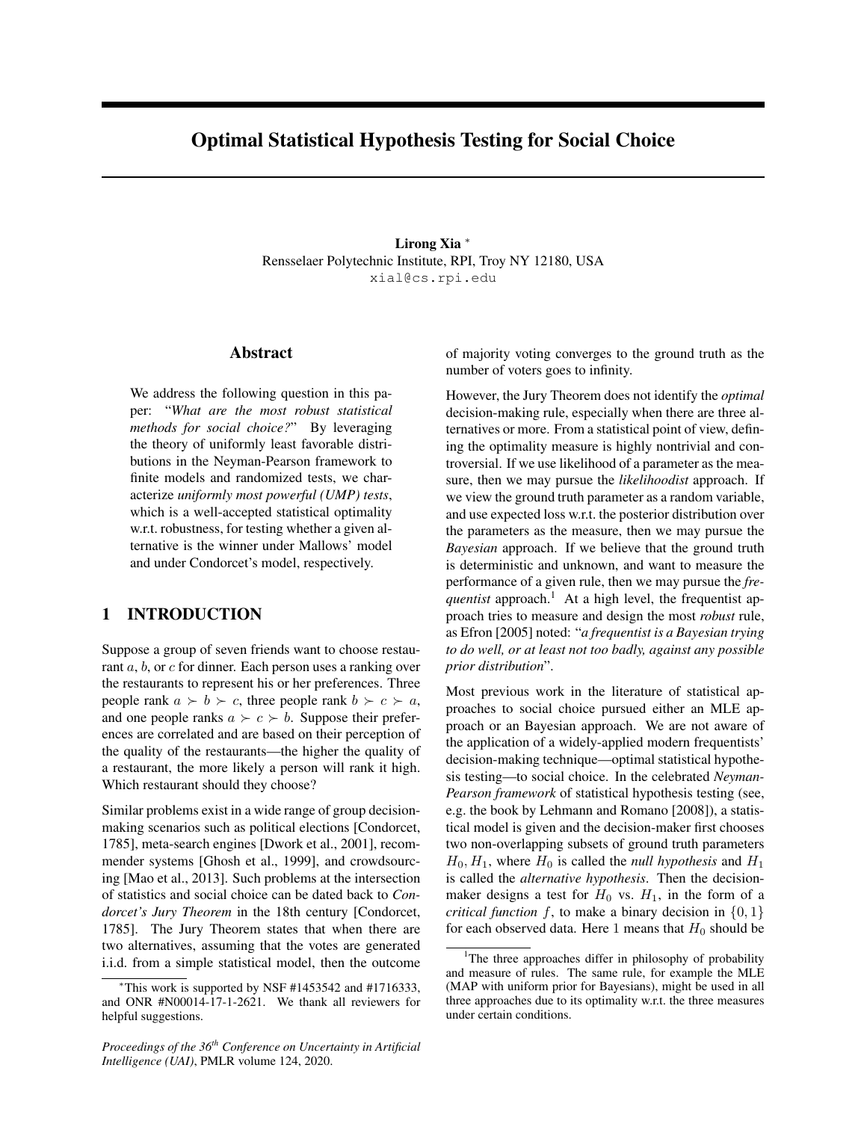# Optimal Statistical Hypothesis Testing for Social Choice

Lirong Xia  $*$ Rensselaer Polytechnic Institute, RPI, Troy NY 12180, USA xial@cs.rpi.edu

### Abstract

We address the following question in this paper: "*What are the most robust statistical methods for social choice?*" By leveraging the theory of uniformly least favorable distributions in the Neyman-Pearson framework to finite models and randomized tests, we characterize *uniformly most powerful (UMP) tests*, which is a well-accepted statistical optimality w.r.t. robustness, for testing whether a given alternative is the winner under Mallows' model and under Condorcet's model, respectively.

# 1 INTRODUCTION

Suppose a group of seven friends want to choose restaurant *a*, *b*, or *c* for dinner. Each person uses a ranking over the restaurants to represent his or her preferences. Three people rank  $a \succ b \succ c$ , three people rank  $b \succ c \succ a$ , and one people ranks  $a \succ c \succ b$ . Suppose their preferences are correlated and are based on their perception of the quality of the restaurants—the higher the quality of a restaurant, the more likely a person will rank it high. Which restaurant should they choose?

Similar problems exist in a wide range of group decisionmaking scenarios such as political elections [Condorcet, 1785], meta-search engines [Dwork et al., 2001], recommender systems [Ghosh et al., 1999], and crowdsourcing [Mao et al., 2013]. Such problems at the intersection of statistics and social choice can be dated back to *Condorcet's Jury Theorem* in the 18th century [Condorcet, 1785]. The Jury Theorem states that when there are two alternatives, assuming that the votes are generated i.i.d. from a simple statistical model, then the outcome

*Proceedings of the 36th Conference on Uncertainty in Artificial Intelligence (UAI)*, PMLR volume 124, 2020.

of majority voting converges to the ground truth as the number of voters goes to infinity.

However, the Jury Theorem does not identify the *optimal* decision-making rule, especially when there are three alternatives or more. From a statistical point of view, defining the optimality measure is highly nontrivial and controversial. If we use likelihood of a parameter as the measure, then we may pursue the *likelihoodist* approach. If we view the ground truth parameter as a random variable, and use expected loss w.r.t. the posterior distribution over the parameters as the measure, then we may pursue the *Bayesian* approach. If we believe that the ground truth is deterministic and unknown, and want to measure the performance of a given rule, then we may pursue the *frequentist* approach.<sup>1</sup> At a high level, the frequentist approach tries to measure and design the most *robust* rule, as Efron [2005] noted: "*a frequentist is a Bayesian trying to do well, or at least not too badly, against any possible prior distribution*".

Most previous work in the literature of statistical approaches to social choice pursued either an MLE approach or an Bayesian approach. We are not aware of the application of a widely-applied modern frequentists' decision-making technique—optimal statistical hypothesis testing—to social choice. In the celebrated *Neyman-Pearson framework* of statistical hypothesis testing (see, e.g. the book by Lehmann and Romano [2008]), a statistical model is given and the decision-maker first chooses two non-overlapping subsets of ground truth parameters  $H_0$ ,  $H_1$ , where  $H_0$  is called the *null hypothesis* and  $H_1$ is called the *alternative hypothesis*. Then the decisionmaker designs a test for  $H_0$  vs.  $H_1$ , in the form of a *critical function*  $f$ , to make a binary decision in  $\{0, 1\}$ for each observed data. Here 1 means that  $H_0$  should be

<sup>⇤</sup>This work is supported by NSF #1453542 and #1716333, and ONR #N00014-17-1-2621. We thank all reviewers for helpful suggestions.

<sup>&</sup>lt;sup>1</sup>The three approaches differ in philosophy of probability and measure of rules. The same rule, for example the MLE (MAP with uniform prior for Bayesians), might be used in all three approaches due to its optimality w.r.t. the three measures under certain conditions.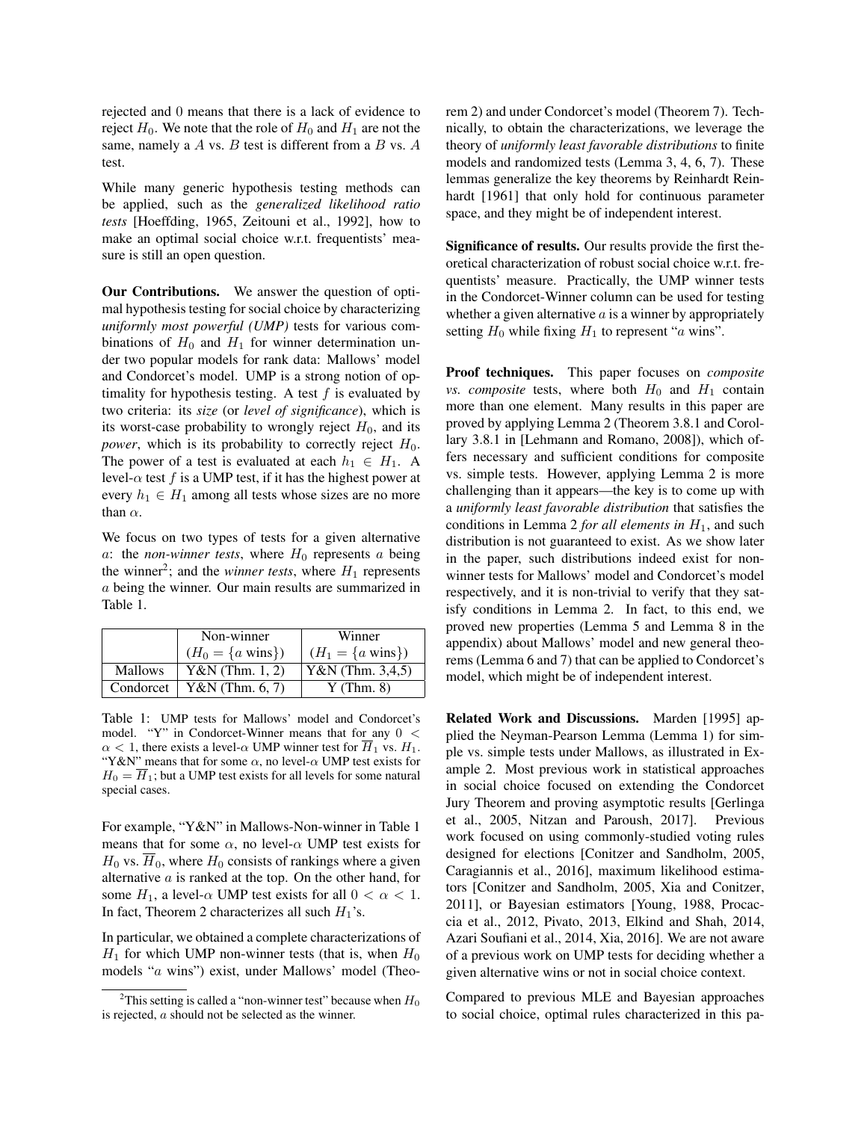rejected and 0 means that there is a lack of evidence to reject  $H_0$ . We note that the role of  $H_0$  and  $H_1$  are not the same, namely a *A* vs. *B* test is different from a *B* vs. *A* test.

While many generic hypothesis testing methods can be applied, such as the *generalized likelihood ratio tests* [Hoeffding, 1965, Zeitouni et al., 1992], how to make an optimal social choice w.r.t. frequentists' measure is still an open question.

Our Contributions. We answer the question of optimal hypothesis testing for social choice by characterizing *uniformly most powerful (UMP)* tests for various combinations of  $H_0$  and  $H_1$  for winner determination under two popular models for rank data: Mallows' model and Condorcet's model. UMP is a strong notion of optimality for hypothesis testing. A test  $f$  is evaluated by two criteria: its *size* (or *level of significance*), which is its worst-case probability to wrongly reject  $H_0$ , and its *power*, which is its probability to correctly reject  $H_0$ . The power of a test is evaluated at each  $h_1 \in H_1$ . A level- $\alpha$  test *f* is a UMP test, if it has the highest power at every  $h_1 \in H_1$  among all tests whose sizes are no more than  $\alpha$ .

We focus on two types of tests for a given alternative *a*: the *non-winner tests*, where  $H_0$  represents *a* being the winner<sup>2</sup>; and the *winner tests*, where  $H_1$  represents *a* being the winner. Our main results are summarized in Table 1.

|                | Non-winner                   | Winner                       |  |
|----------------|------------------------------|------------------------------|--|
|                | $(H_0 = \{a \text{ wins}\})$ | $(H_1 = \{a \text{ wins}\})$ |  |
| <b>Mallows</b> | $Y&N$ (Thm. 1, 2)            | Y&N (Thm. 3,4,5)             |  |
| Condorcet      | $Y&N$ (Thm. 6, 7)            | Y(Thm. 8)                    |  |

Table 1: UMP tests for Mallows' model and Condorcet's model. "Y" in Condorcet-Winner means that for any 0 *<*  $\alpha$  < 1, there exists a level- $\alpha$  UMP winner test for  $\overline{H}_1$  vs.  $H_1$ . "Y&N" means that for some  $\alpha$ , no level- $\alpha$  UMP test exists for  $H_0 = H_1$ ; but a UMP test exists for all levels for some natural special cases.

For example, "Y&N" in Mallows-Non-winner in Table 1 means that for some  $\alpha$ , no level- $\alpha$  UMP test exists for  $H_0$  vs.  $\overline{H}_0$ , where  $H_0$  consists of rankings where a given alternative *a* is ranked at the top. On the other hand, for some  $H_1$ , a level- $\alpha$  UMP test exists for all  $0 < \alpha < 1$ . In fact, Theorem 2 characterizes all such  $H_1$ 's.

In particular, we obtained a complete characterizations of  $H_1$  for which UMP non-winner tests (that is, when  $H_0$ models "*a* wins") exist, under Mallows' model (Theorem 2) and under Condorcet's model (Theorem 7). Technically, to obtain the characterizations, we leverage the theory of *uniformly least favorable distributions* to finite models and randomized tests (Lemma 3, 4, 6, 7). These lemmas generalize the key theorems by Reinhardt Reinhardt [1961] that only hold for continuous parameter space, and they might be of independent interest.

Significance of results. Our results provide the first theoretical characterization of robust social choice w.r.t. frequentists' measure. Practically, the UMP winner tests in the Condorcet-Winner column can be used for testing whether a given alternative *a* is a winner by appropriately setting  $H_0$  while fixing  $H_1$  to represent "*a* wins".

Proof techniques. This paper focuses on *composite vs. composite* tests, where both  $H_0$  and  $H_1$  contain more than one element. Many results in this paper are proved by applying Lemma 2 (Theorem 3.8.1 and Corollary 3.8.1 in [Lehmann and Romano, 2008]), which offers necessary and sufficient conditions for composite vs. simple tests. However, applying Lemma 2 is more challenging than it appears—the key is to come up with a *uniformly least favorable distribution* that satisfies the conditions in Lemma 2 *for all elements in*  $H_1$ , and such distribution is not guaranteed to exist. As we show later in the paper, such distributions indeed exist for nonwinner tests for Mallows' model and Condorcet's model respectively, and it is non-trivial to verify that they satisfy conditions in Lemma 2. In fact, to this end, we proved new properties (Lemma 5 and Lemma 8 in the appendix) about Mallows' model and new general theorems (Lemma 6 and 7) that can be applied to Condorcet's model, which might be of independent interest.

Related Work and Discussions. Marden [1995] applied the Neyman-Pearson Lemma (Lemma 1) for simple vs. simple tests under Mallows, as illustrated in Example 2. Most previous work in statistical approaches in social choice focused on extending the Condorcet Jury Theorem and proving asymptotic results [Gerlinga et al., 2005, Nitzan and Paroush, 2017]. Previous work focused on using commonly-studied voting rules designed for elections [Conitzer and Sandholm, 2005, Caragiannis et al., 2016], maximum likelihood estimators [Conitzer and Sandholm, 2005, Xia and Conitzer, 2011], or Bayesian estimators [Young, 1988, Procaccia et al., 2012, Pivato, 2013, Elkind and Shah, 2014, Azari Soufiani et al., 2014, Xia, 2016]. We are not aware of a previous work on UMP tests for deciding whether a given alternative wins or not in social choice context.

Compared to previous MLE and Bayesian approaches to social choice, optimal rules characterized in this pa-

<sup>&</sup>lt;sup>2</sup>This setting is called a "non-winner test" because when  $H_0$ is rejected, *a* should not be selected as the winner.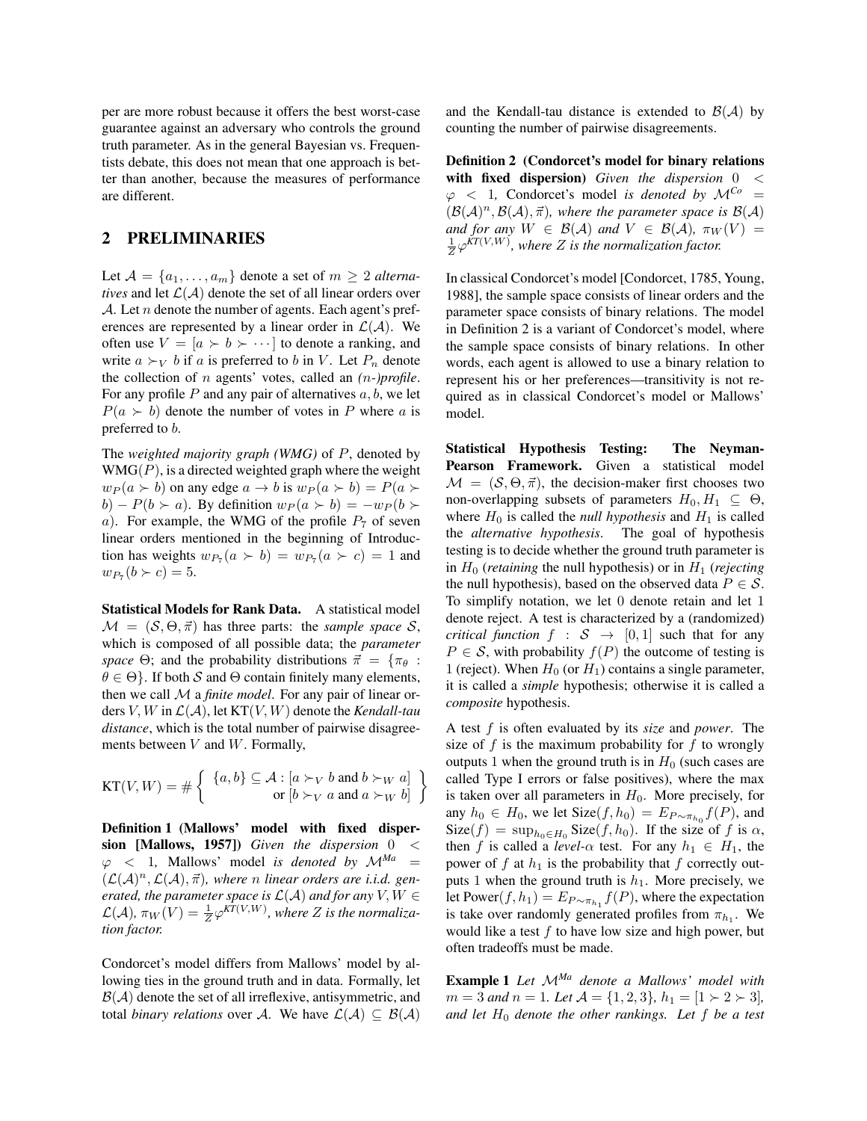per are more robust because it offers the best worst-case guarantee against an adversary who controls the ground truth parameter. As in the general Bayesian vs. Frequentists debate, this does not mean that one approach is better than another, because the measures of performance are different.

### 2 PRELIMINARIES

Let  $A = \{a_1, \ldots, a_m\}$  denote a set of  $m \geq 2$  alterna*tives* and let  $\mathcal{L}(\mathcal{A})$  denote the set of all linear orders over *A*. Let *n* denote the number of agents. Each agent's preferences are represented by a linear order in  $\mathcal{L}(\mathcal{A})$ . We often use  $V = [a \succ b \succ \cdots]$  to denote a ranking, and write  $a \succ_V b$  if *a* is preferred to *b* in *V*. Let  $P_n$  denote the collection of *n* agents' votes, called an *(n-)profile*. For any profile *P* and any pair of alternatives *a, b*, we let  $P(a \succ b)$  denote the number of votes in *P* where *a* is preferred to *b*.

The *weighted majority graph (WMG)* of *P*, denoted by WMG(*P*), is a directed weighted graph where the weight  $w_P(a \succ b)$  on any edge  $a \rightarrow b$  is  $w_P(a \succ b) = P(a \succ b)$  $b) - P(b \succ a)$ . By definition  $w_P(a \succ b) = -w_P(b \succ b)$ *a*). For example, the WMG of the profile  $P_7$  of seven linear orders mentioned in the beginning of Introduction has weights  $w_{P_7}(a \succ b) = w_{P_7}(a \succ c) = 1$  and  $w_{P_7}(b \succ c) = 5.$ 

Statistical Models for Rank Data. A statistical model  $M = (S, \Theta, \vec{\pi})$  has three parts: the *sample space S*, which is composed of all possible data; the *parameter space*  $\Theta$ ; and the probability distributions  $\vec{\pi} = {\pi_{\theta}}$ :  $\theta \in \Theta$ . If both *S* and  $\Theta$  contain finitely many elements, then we call *M* a *finite model*. For any pair of linear orders *V,W* in *L*(*A*), let KT(*V,W*) denote the *Kendall-tau distance*, which is the total number of pairwise disagreements between *V* and *W*. Formally,

$$
KT(V, W) = # \left\{ \begin{array}{c} \{a, b\} \subseteq \mathcal{A} : [a \succ_V b \text{ and } b \succ_W a] \\ \text{or } [b \succ_V a \text{ and } a \succ_W b] \end{array} \right\}
$$

Definition 1 (Mallows' model with fixed dispersion [Mallows, 1957]) *Given the dispersion* 0 *<*  $\varphi$  < 1, Mallows' model *is denoted by*  $\mathcal{M}^{Ma}$  =  $(L(A)^n, L(A), \vec{\pi})$ *, where n linear orders are i.i.d. generated, the parameter space is*  $\mathcal{L}(\mathcal{A})$  *and for any*  $V, W \in$  $\mathcal{L}(\mathcal{A}), \pi_W(V) = \frac{1}{Z} \varphi^{KT(V,W)},$  where *Z* is the normaliza*tion factor.*

Condorcet's model differs from Mallows' model by allowing ties in the ground truth and in data. Formally, let  $B(A)$  denote the set of all irreflexive, antisymmetric, and total *binary relations* over *A*. We have  $\mathcal{L}(\mathcal{A}) \subseteq \mathcal{B}(\mathcal{A})$  and the Kendall-tau distance is extended to  $\mathcal{B}(\mathcal{A})$  by counting the number of pairwise disagreements.

Definition 2 (Condorcet's model for binary relations with fixed dispersion) *Given the dispersion* 0 *<*  $\varphi$  < 1, Condorcet's model *is denoted by*  $\mathcal{M}^{C_0}$  $(B(A)^n, B(A), \vec{\pi})$ , where the parameter space is  $B(A)$ *and for any*  $W \in \mathcal{B}(\mathcal{A})$  *and*  $V \in \mathcal{B}(\mathcal{A})$ ,  $\pi_W(V) =$  $\frac{1}{Z}\varphi^{KT(V,W)}$ , where *Z* is the normalization factor.

In classical Condorcet's model [Condorcet, 1785, Young, 1988], the sample space consists of linear orders and the parameter space consists of binary relations. The model in Definition 2 is a variant of Condorcet's model, where the sample space consists of binary relations. In other words, each agent is allowed to use a binary relation to represent his or her preferences—transitivity is not required as in classical Condorcet's model or Mallows' model.

Statistical Hypothesis Testing: The Neyman-Pearson Framework. Given a statistical model  $M = (S, \Theta, \vec{\pi})$ , the decision-maker first chooses two non-overlapping subsets of parameters  $H_0, H_1 \subseteq \Theta$ , where  $H_0$  is called the *null hypothesis* and  $H_1$  is called the *alternative hypothesis*. The goal of hypothesis testing is to decide whether the ground truth parameter is in *H*<sup>0</sup> (*retaining* the null hypothesis) or in *H*<sup>1</sup> (*rejecting* the null hypothesis), based on the observed data  $P \in \mathcal{S}$ . To simplify notation, we let 0 denote retain and let 1 denote reject. A test is characterized by a (randomized) *critical function*  $f : S \rightarrow [0,1]$  such that for any  $P \in \mathcal{S}$ , with probability  $f(P)$  the outcome of testing is 1 (reject). When  $H_0$  (or  $H_1$ ) contains a single parameter, it is called a *simple* hypothesis; otherwise it is called a *composite* hypothesis.

A test *f* is often evaluated by its *size* and *power*. The size of  $f$  is the maximum probability for  $f$  to wrongly outputs 1 when the ground truth is in  $H_0$  (such cases are called Type I errors or false positives), where the max is taken over all parameters in  $H_0$ . More precisely, for any  $h_0 \in H_0$ , we let Size( $f, h_0$ ) =  $E_{P \sim \pi_{h_0}} f(P)$ , and  $Size(f) = sup_{h_0 \in H_0} Size(f, h_0)$ . If the size of *f* is  $\alpha$ , then *f* is called a *level*- $\alpha$  test. For any  $h_1 \in H_1$ , the power of  $f$  at  $h_1$  is the probability that  $f$  correctly outputs 1 when the ground truth is  $h_1$ . More precisely, we let Power $(f, h_1) = E_{P \sim \pi_{h_1}} f(P)$ , where the expectation is take over randomly generated profiles from  $\pi_{h_1}$ . We would like a test *f* to have low size and high power, but often tradeoffs must be made.

Example 1 *Let <sup>M</sup>Ma denote a Mallows' model with*  $m = 3$  *and*  $n = 1$ *. Let*  $\mathcal{A} = \{1, 2, 3\}$ ,  $h_1 = [1 \succ 2 \succ 3]$ , *and let H*<sup>0</sup> *denote the other rankings. Let f be a test*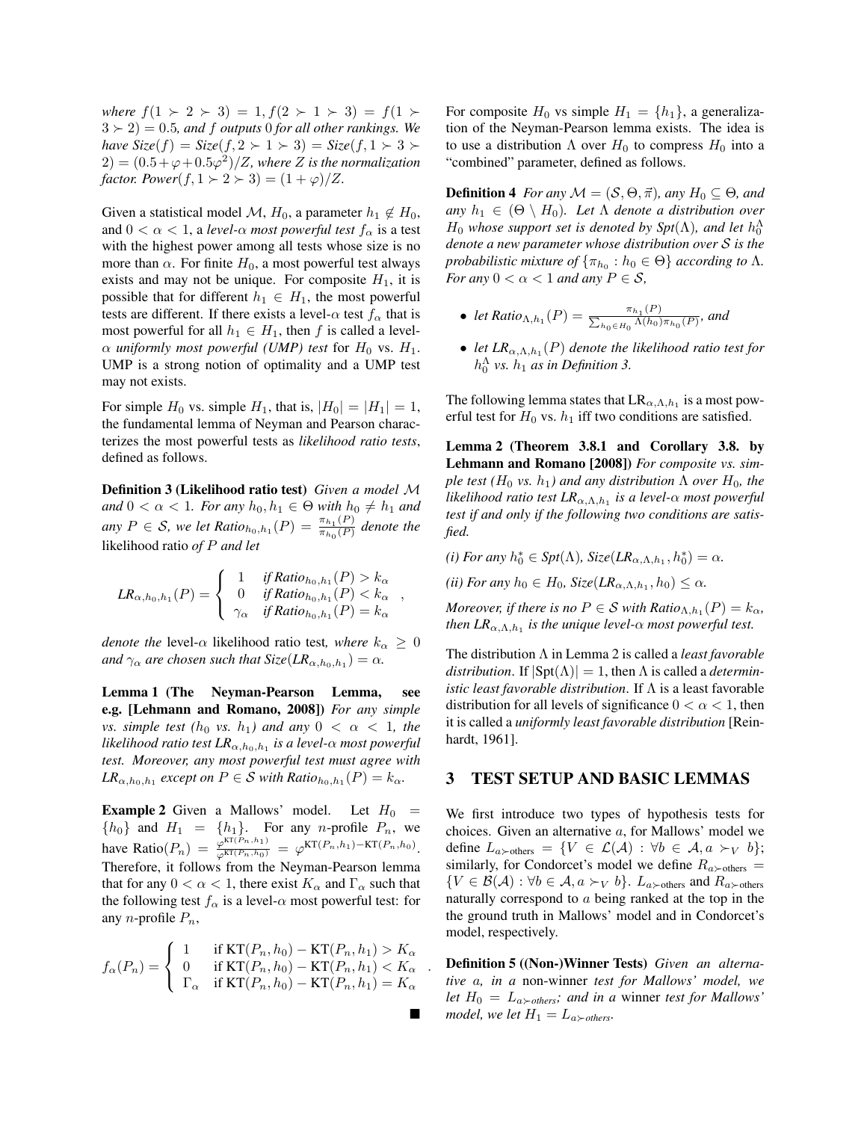*where*  $f(1 \succ 2 \succ 3) = 1, f(2 \succ 1 \succ 3) = f(1 \succ 3)$  $3 \succ 2$ ) = 0.5*, and f outputs* 0 *for all other rankings. We have*  $Size(f) = Size(f, 2 \succ 1 \succ 3) = Size(f, 1 \succ 3 \succ$  $2) = (0.5 + \varphi + 0.5\varphi^2)/Z$ *, where Z is the normalization factor. Power* $(f, 1 \succ 2 \succ 3) = (1 + \varphi)/Z$ *.* 

Given a statistical model M,  $H_0$ , a parameter  $h_1 \notin H_0$ , and  $0 < \alpha < 1$ , a *level-* $\alpha$  *most powerful test*  $f_{\alpha}$  is a test with the highest power among all tests whose size is no more than  $\alpha$ . For finite  $H_0$ , a most powerful test always exists and may not be unique. For composite  $H_1$ , it is possible that for different  $h_1 \in H_1$ , the most powerful tests are different. If there exists a level- $\alpha$  test  $f_{\alpha}$  that is most powerful for all  $h_1 \in H_1$ , then *f* is called a level- $\alpha$  *uniformly most powerful (UMP) test* for  $H_0$  vs.  $H_1$ . UMP is a strong notion of optimality and a UMP test may not exists.

For simple  $H_0$  vs. simple  $H_1$ , that is,  $|H_0| = |H_1| = 1$ , the fundamental lemma of Neyman and Pearson characterizes the most powerful tests as *likelihood ratio tests*, defined as follows.

Definition 3 (Likelihood ratio test) *Given a model M and*  $0 < \alpha < 1$ *. For any*  $h_0, h_1 \in \Theta$  *with*  $h_0 \neq h_1$  *and any*  $P \in \mathcal{S}$ *, we let Ratio*<sub>*h*<sub>0</sub></sub>,*h*<sub>1</sub></sub> $(P) = \frac{\pi_{h_1}(P)}{\pi_{h_0}(P)}$  *denote the* likelihood ratio *of P and let*

$$
LR_{\alpha,h_0,h_1}(P) = \begin{cases} 1 & if Ratio_{h_0,h_1}(P) > k_{\alpha} \\ 0 & if Ratio_{h_0,h_1}(P) < k_{\alpha} \\ \gamma_{\alpha} & if Ratio_{h_0,h_1}(P) = k_{\alpha} \end{cases}
$$

*denote the* level- $\alpha$  likelihood ratio test, where  $k_{\alpha} \geq 0$ *and*  $\gamma_{\alpha}$  *are chosen such that*  $Size(LR_{\alpha, h_0, h_1}) = \alpha$ *.* 

Lemma 1 (The Neyman-Pearson Lemma, see e.g. [Lehmann and Romano, 2008]) *For any simple vs.* simple test  $(h_0 \text{ vs. } h_1)$  and any  $0 < \alpha < 1$ , the *likelihood ratio test*  $LR_{\alpha,h_0,h_1}$  *is a level-* $\alpha$  *most powerful test. Moreover, any most powerful test must agree with*  $LR_{\alpha,h_0,h_1}$  *except on*  $P \in \mathcal{S}$  *with Ratio*<sub>*h*<sub>0</sub></sub>,*h*<sub>1</sub> (*P*) =  $k_\alpha$ *.* 

**Example 2** Given a Mallows' model. Let  $H_0$  =  ${h_0}$  and  $H_1 = {h_1}$ . For any *n*-profile  $P_n$ , we have Ratio( $P_n$ ) =  $\frac{\varphi^{KT(P_n,h_1)}}{\varphi^{KT(P_n,h_0)}} = \varphi^{KT(P_n,h_1)-KT(P_n,h_0)}$ . Therefore, it follows from the Neyman-Pearson lemma that for any  $0 < \alpha < 1$ , there exist  $K_{\alpha}$  and  $\Gamma_{\alpha}$  such that the following test  $f_\alpha$  is a level- $\alpha$  most powerful test: for any *n*-profile *Pn*,

$$
f_{\alpha}(P_n) = \begin{cases} 1 & \text{if } \text{KT}(P_n, h_0) - \text{KT}(P_n, h_1) > K_{\alpha} \\ 0 & \text{if } \text{KT}(P_n, h_0) - \text{KT}(P_n, h_1) < K_{\alpha} \\ \Gamma_{\alpha} & \text{if } \text{KT}(P_n, h_0) - \text{KT}(P_n, h_1) = K_{\alpha} \end{cases}
$$

*.*

 $\blacksquare$ 

For composite  $H_0$  vs simple  $H_1 = \{h_1\}$ , a generalization of the Neyman-Pearson lemma exists. The idea is to use a distribution  $\Lambda$  over  $H_0$  to compress  $H_0$  into a "combined" parameter, defined as follows.

**Definition 4** *For any*  $M = (S, \Theta, \vec{\pi})$ *, any*  $H_0 \subseteq \Theta$ *, and any*  $h_1 \in (\Theta \setminus H_0)$ *. Let*  $\Lambda$  *denote a distribution over*  $H_0$  *whose support set is denoted by Spt*( $\Lambda$ )*, and let*  $h_0^{\Lambda}$ *denote a new parameter whose distribution over S is the probabilistic mixture of*  $\{\pi_{h_0} : h_0 \in \Theta\}$  *according to*  $\Lambda$ *. For any*  $0 < \alpha < 1$  *and any*  $P \in \mathcal{S}$ *,* 

- *let*  $Ratio_{\Lambda, h_1}(P) = \frac{\pi_{h_1}(P)}{\sum_{h_0 \in H_0} \Lambda(h_0) \pi_{h_0}(P)}$ *, and*
- *let*  $LR_{\alpha,\Lambda,h_1}(P)$  *denote the likelihood ratio test for*  $h_0^{\Lambda}$  *vs.*  $h_1$  *as in Definition 3.*

The following lemma states that  $LR_{\alpha,\Lambda,h_1}$  is a most powerful test for  $H_0$  vs.  $h_1$  iff two conditions are satisfied.

Lemma 2 (Theorem 3.8.1 and Corollary 3.8. by Lehmann and Romano [2008]) *For composite vs. simple test* ( $H_0$  *vs.*  $h_1$ ) and any distribution  $\Lambda$  over  $H_0$ , the *likelihood ratio test*  $LR_{\alpha,\Lambda,h_1}$  *is a level-* $\alpha$  *most powerful test if and only if the following two conditions are satisfied.*

 $(i)$  *For any*  $h_0^* \in \text{Spt}(\Lambda)$ *, Size*( $LR_{\alpha,\Lambda,h_1},h_0^*$ ) =  $\alpha$ *.* 

*(ii) For any*  $h_0 \in H_0$ *, Size*( $LR_{\alpha,\Lambda,h_1},h_0$ )  $\leq \alpha$ *.* 

*Moreover, if there is no*  $P \in S$  *with Ratio*<sub> $\Lambda$ , $h_1$  $(P) = k_\alpha$ ,</sub> *then*  $LR_{\alpha,\Lambda,h_1}$  *is the unique level-* $\alpha$  *most powerful test.* 

The distribution  $\Lambda$  in Lemma 2 is called a *least favorable distribution.* If  $|\text{Spt}(\Lambda)| = 1$ , then  $\Lambda$  is called a *deterministic least favorable distribution*. If  $\Lambda$  is a least favorable distribution for all levels of significance  $0 < \alpha < 1$ , then it is called a *uniformly least favorable distribution* [Reinhardt, 1961].

# 3 TEST SETUP AND BASIC LEMMAS

We first introduce two types of hypothesis tests for choices. Given an alternative *a*, for Mallows' model we define  $L_{a \succ \text{others}} = \{ V \in \mathcal{L}(\mathcal{A}) : \forall b \in \mathcal{A}, a \succ_V b \};$ similarly, for Condorcet's model we define  $R_{a \succ \text{others}} =$  $\{V \in \mathcal{B}(\mathcal{A}) : \forall b \in \mathcal{A}, a \succ_V b\}$ .  $L_{a \succ \text{others}}$  and  $R_{a \succ \text{others}}$ naturally correspond to *a* being ranked at the top in the the ground truth in Mallows' model and in Condorcet's model, respectively.

Definition 5 ((Non-)Winner Tests) *Given an alternative a, in a* non-winner *test for Mallows' model, we let*  $H_0 = L_{a \succ others}$ ; and in a winner *test for Mallows model, we let*  $H_1 = L_{a \succ others}$ .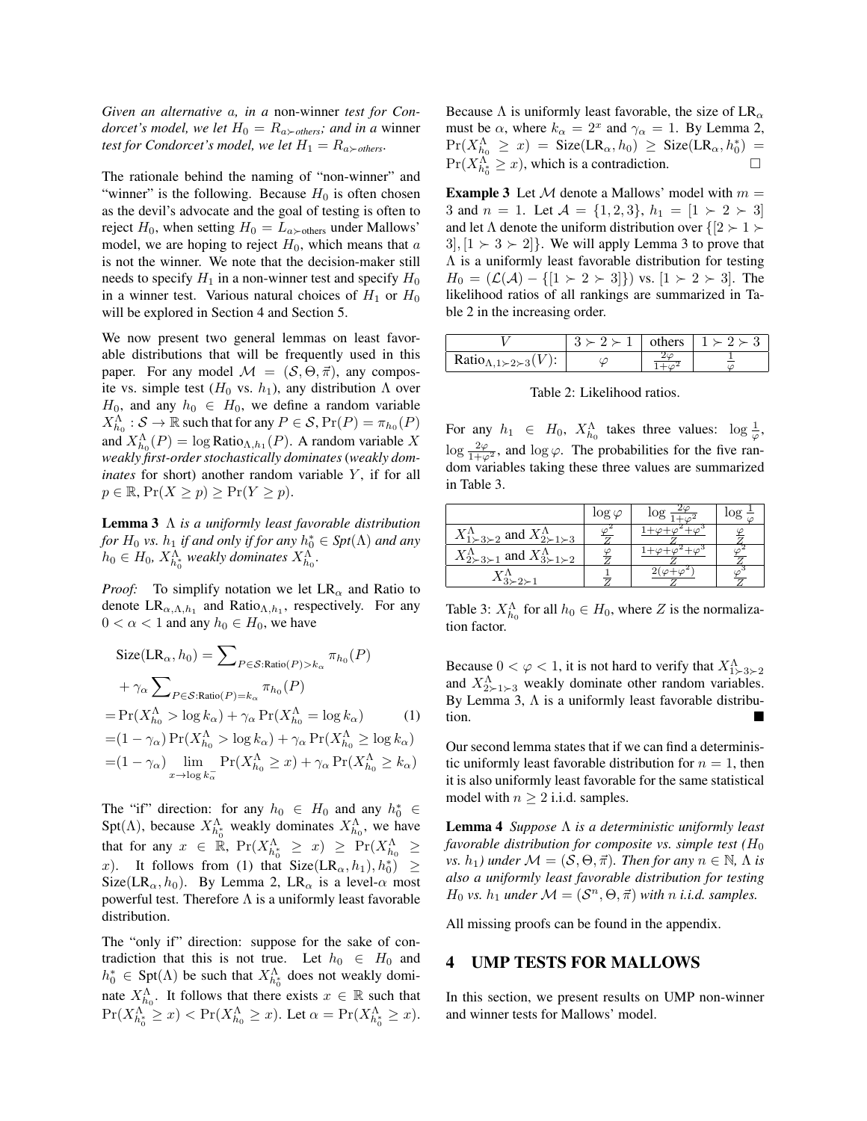*Given an alternative a, in a* non-winner *test for Condorcet's model, we let*  $H_0 = R_{a \succ others}$ *; and in a winner test for Condorcet's model, we let*  $H_1 = R_{a \succ others}$ .

The rationale behind the naming of "non-winner" and "winner" is the following. Because  $H_0$  is often chosen as the devil's advocate and the goal of testing is often to reject  $H_0$ , when setting  $H_0 = L_a$ <sub>>others</sub> under Mallows' model, we are hoping to reject  $H_0$ , which means that  $a$ is not the winner. We note that the decision-maker still needs to specify  $H_1$  in a non-winner test and specify  $H_0$ in a winner test. Various natural choices of  $H_1$  or  $H_0$ will be explored in Section 4 and Section 5.

We now present two general lemmas on least favorable distributions that will be frequently used in this paper. For any model  $M = (S, \Theta, \vec{\pi})$ , any composite vs. simple test  $(H_0$  vs.  $h_1$ ), any distribution  $\Lambda$  over  $H_0$ , and any  $h_0 \in H_0$ , we define a random variable  $X_{h_0}^{\Lambda}$  :  $S \to \mathbb{R}$  such that for any  $P \in S$ ,  $\Pr(P) = \pi_{h_0}(P)$ and  $X_{h_0}^{\Lambda}(P) = \log \text{Ratio}_{\Lambda, h_1}(P)$ . A random variable X *weakly first-order stochastically dominates* (*weakly dominates* for short) another random variable *Y*, if for all  $p \in \mathbb{R}$ ,  $Pr(X \geq p) \geq Pr(Y \geq p)$ .

Lemma 3  $\Lambda$  *is a uniformly least favorable distribution for*  $H_0$  *vs.*  $h_1$  *if and only if for any*  $h_0^* \in Spt(\Lambda)$  *and any*  $h_0 \in H_0$ ,  $X_{h_0^*}^{\Lambda}$  *weakly dominates*  $X_{h_0}^{\Lambda}$ .

*Proof:* To simplify notation we let  $LR_{\alpha}$  and Ratio to denote  $LR_{\alpha,\Lambda,h_1}$  and Ratio<sub> $\Lambda,h_1$ </sub>, respectively. For any  $0 < \alpha < 1$  and any  $h_0 \in H_0$ , we have

$$
\begin{split} \text{Size}(\text{LR}_{\alpha}, h_{0}) &= \sum_{P \in \mathcal{S}:\text{Ratio}(P) > k_{\alpha}} \pi_{h_{0}}(P) \\ &+ \gamma_{\alpha} \sum_{P \in \mathcal{S}:\text{Ratio}(P) = k_{\alpha}} \pi_{h_{0}}(P) \\ &= \Pr(X_{h_{0}}^{\Lambda} > \log k_{\alpha}) + \gamma_{\alpha} \Pr(X_{h_{0}}^{\Lambda} = \log k_{\alpha}) \qquad (1) \\ &= (1 - \gamma_{\alpha}) \Pr(X_{h_{0}}^{\Lambda} > \log k_{\alpha}) + \gamma_{\alpha} \Pr(X_{h_{0}}^{\Lambda} \ge \log k_{\alpha}) \\ &= (1 - \gamma_{\alpha}) \lim_{x \to \log k_{\alpha}} \Pr(X_{h_{0}}^{\Lambda} \ge x) + \gamma_{\alpha} \Pr(X_{h_{0}}^{\Lambda} \ge k_{\alpha}) \end{split}
$$

The "if" direction: for any  $h_0 \in H_0$  and any  $h_0^* \in$ Spt( $\Lambda$ ), because  $X_{h_0^*}^{\Lambda}$  weakly dominates  $X_{h_0}^{\Lambda}$ , we have that for any  $x \in \mathbb{R}$ ,  $\Pr(X_{h_0^*}^{\Lambda} \geq x) \geq \Pr(X_{h_0}^{\Lambda} \geq x)$ *x*). It follows from (1) that  $Size(LR_{\alpha}, h_1), h_0^* ) \geq$ Size(LR<sub> $\alpha$ </sub>, h<sub>0</sub>). By Lemma 2, LR<sub> $\alpha$ </sub> is a level- $\alpha$  most powerful test. Therefore  $\Lambda$  is a uniformly least favorable distribution.

The "only if" direction: suppose for the sake of contradiction that this is not true. Let  $h_0 \in H_0$  and  $h_0^* \in \text{Spt}(\Lambda)$  be such that  $X_{h_0^*}^{\Lambda}$  does not weakly dominate  $X_{h_0}^{\Lambda}$ . It follows that there exists  $x \in \mathbb{R}$  such that  $\Pr(X_{h_0^*}^{\Lambda} \geq x) < \Pr(X_{h_0}^{\Lambda} \geq x)$ . Let  $\alpha = \Pr(X_{h_0^*}^{\Lambda} \geq x)$ .

Because  $\Lambda$  is uniformly least favorable, the size of LR<sub> $\alpha$ </sub> must be  $\alpha$ , where  $k_{\alpha} = 2^x$  and  $\gamma_{\alpha} = 1$ . By Lemma 2,  $Pr(X_{h_0}^{\Lambda} \geq x) =$  Size(LR<sub> $\alpha$ </sub>,  $h_0$ )  $\geq$  Size(LR<sub> $\alpha$ </sub>,  $h_0^*$ ) =  $Pr(X_{h_0^*}^{\Lambda} \geq x)$ , which is a contradiction.  $\Box$ 

**Example 3** Let  $M$  denote a Mallows' model with  $m =$ 3 and  $n = 1$ . Let  $\mathcal{A} = \{1, 2, 3\}$ ,  $h_1 = [1 \succ 2 \succ 3]$ and let  $\Lambda$  denote the uniform distribution over  $\{2 \succ 1 \succ \}$  $3$ ,  $[1 \succ 3 \succ 2]$ . We will apply Lemma 3 to prove that  $\Lambda$  is a uniformly least favorable distribution for testing  $H_0 = (\mathcal{L}(\mathcal{A}) - \{[1 \succ 2 \succ 3]\})$  vs.  $[1 \succ 2 \succ 3]$ . The likelihood ratios of all rankings are summarized in Table 2 in the increasing order.

|                                                                                                | $2 \succ 1$ | others | $1 \succ 2 \succ 3$ |
|------------------------------------------------------------------------------------------------|-------------|--------|---------------------|
| Ratio <sub><math>\Lambda</math>,1<math>\succ</math>2<math>\succ</math>3(<math>V</math>):</sub> |             |        |                     |

Table 2: Likelihood ratios.

For any  $h_1 \in H_0$ ,  $X_{h_0}^{\Lambda}$  takes three values:  $\log \frac{1}{\varphi}$ ,  $\log \frac{2\varphi}{1+\varphi^2}$ , and  $\log \varphi$ . The probabilities for the five random variables taking these three values are summarized in Table 3.

|                                                                                  | $\log \varphi$ |  |
|----------------------------------------------------------------------------------|----------------|--|
| $X_{1\succ 3\succ 2}^{\Lambda}$ and $X_{2\succ 1\succ 3}^{\Lambda}$              |                |  |
| $\lambda_1$ and $X_{3 \geq 1 \geq 2}^{\Lambda}$<br>$X_{2\succ 3\succ}^{\Lambda}$ |                |  |
|                                                                                  |                |  |

Table 3:  $X_{h_0}^{\Lambda}$  for all  $h_0 \in H_0$ , where *Z* is the normalization factor.

Because  $0 < \varphi < 1$ , it is not hard to verify that  $X_{1 \succ 3 \succ 2}^{\Lambda}$ and  $X_{2 \succ 1 \succ 3}^{\Lambda}$  weakly dominate other random variables. By Lemma 3,  $\Lambda$  is a uniformly least favorable distribution.

Our second lemma states that if we can find a deterministic uniformly least favorable distribution for  $n = 1$ , then it is also uniformly least favorable for the same statistical model with  $n \geq 2$  i.i.d. samples.

**Lemma 4** *Suppose*  $\Lambda$  *is a deterministic uniformly least favorable distribution for composite vs. simple test*  $(H_0)$ *vs.*  $h_1$ *)* under  $\mathcal{M} = (\mathcal{S}, \Theta, \vec{\pi})$ *. Then for any*  $n \in \mathbb{N}$ *,*  $\Lambda$  *is also a uniformly least favorable distribution for testing H*<sub>0</sub> *vs. h*<sub>1</sub> *under*  $M = (S^n, \Theta, \vec{\pi})$  *with n i.i.d. samples.* 

All missing proofs can be found in the appendix.

#### 4 UMP TESTS FOR MALLOWS

In this section, we present results on UMP non-winner and winner tests for Mallows' model.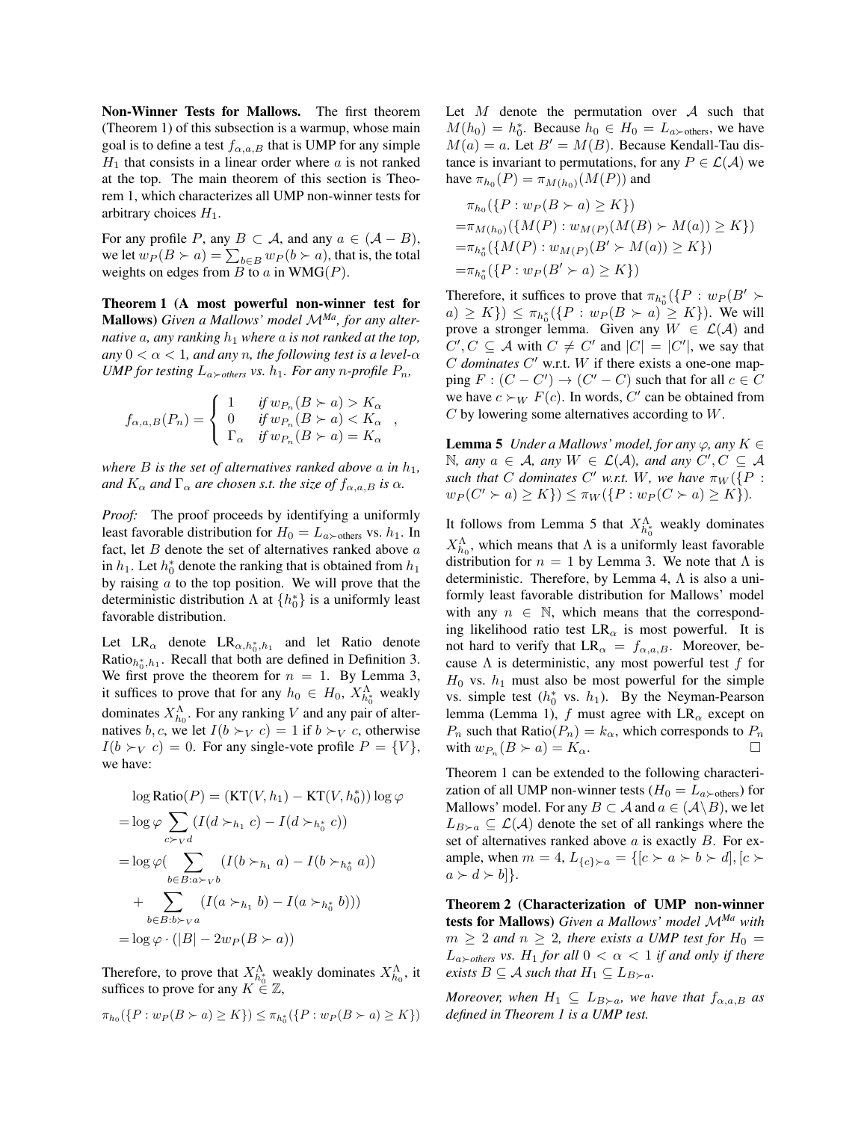Non-Winner Tests for Mallows. The first theorem (Theorem 1) of this subsection is a warmup, whose main goal is to define a test  $f_{\alpha,a,B}$  that is UMP for any simple  $H_1$  that consists in a linear order where  $a$  is not ranked at the top. The main theorem of this section is Theorem 1, which characterizes all UMP non-winner tests for arbitrary choices  $H_1$ .

For any profile *P*, any  $B \subset A$ , and any  $a \in (A - B)$ , we let  $w_P(B \succ a) = \sum_{b \in B} w_P(b \succ a)$ , that is, the total weights on edges from  $B$  to  $a$  in  $WMG(P)$ .

Theorem 1 (A most powerful non-winner test for Mallows) *Given a Mallows' model <sup>M</sup>Ma, for any alternative*  $a$ *, any ranking*  $h_1$  *where*  $a$  *is not ranked at the top,* any  $0 < \alpha < 1$ , and any *n*, the following test is a level- $\alpha$ *UMP for testing*  $L_{a \succ others}$  *vs.*  $h_1$ *. For any n*-profile  $P_n$ *,* 

$$
f_{\alpha,a,B}(P_n) = \left\{ \begin{array}{ll} 1 & \textit{if } w_{P_n}(B \succ a) > K_\alpha \\ 0 & \textit{if } w_{P_n}(B \succ a) < K_\alpha \\ \Gamma_\alpha & \textit{if } w_{P_n}(B \succ a) = K_\alpha \end{array} \right.
$$

*,*

*where B is the set of alternatives ranked above a in*  $h_1$ *, and*  $K_{\alpha}$  *and*  $\Gamma_{\alpha}$  *are chosen s.t. the size of*  $f_{\alpha,a,B}$  *is*  $\alpha$ *.* 

*Proof:* The proof proceeds by identifying a uniformly least favorable distribution for  $H_0 = L_{a \succ \text{others}}$  vs.  $h_1$ . In fact, let *B* denote the set of alternatives ranked above *a* in  $h_1$ . Let  $h_0^*$  denote the ranking that is obtained from  $h_1$ by raising *a* to the top position. We will prove that the deterministic distribution  $\Lambda$  at  $\{h_0^*\}$  is a uniformly least favorable distribution.

Let  $LR_{\alpha}$  denote  $LR_{\alpha,h_0^*,h_1}$  and let Ratio denote Ratio $h_{0}^*$ ,  $h_1$ . Recall that both are defined in Definition 3. We first prove the theorem for  $n = 1$ . By Lemma 3, it suffices to prove that for any  $h_0 \in H_0$ ,  $X_{h_0^*}^{\Lambda}$  weakly dominates  $X_{h_0}^{\Lambda}$ . For any ranking *V* and any pair of alternatives *b*, *c*, we let  $I(b \succ_V c) = 1$  if  $b \succ_V c$ , otherwise  $I(b \succ_V c) = 0$ . For any single-vote profile  $P = \{V\},\$ we have:

$$
\log \text{Ratio}(P) = (\text{KT}(V, h_1) - \text{KT}(V, h_0^*)) \log \varphi
$$
  
=  $\log \varphi \sum_{c \succ_V d} (I(d \succ_{h_1} c) - I(d \succ_{h_0^*} c))$   
=  $\log \varphi (\sum_{b \in B: a \succ_V b} (I(b \succ_{h_1} a) - I(b \succ_{h_0^*} a))$   
+  $\sum_{b \in B: b \succ_V a} (I(a \succ_{h_1} b) - I(a \succ_{h_0^*} b)))$   
=  $\log \varphi \cdot (|B| - 2w_P(B \succ a))$ 

Therefore, to prove that  $X_{h_0}^{\Lambda}$  weakly dominates  $X_{h_0}^{\Lambda}$ , it suffices to prove for any  $K \in \mathbb{Z}$ ,

$$
\pi_{h_0}(\{P: w_P(B \succ a) \ge K\}) \le \pi_{h_0^*}(\{P: w_P(B \succ a) \ge K\})
$$

Let *M* denote the permutation over *A* such that  $M(h_0) = h_0^*$ . Because  $h_0 \in H_0 = L_a \times_{\text{others}}$ , we have  $M(a) = a$ . Let  $B' = M(B)$ . Because Kendall-Tau distance is invariant to permutations, for any  $P \in \mathcal{L}(\mathcal{A})$  we have  $\pi_{h_0}(P) = \pi_{M(h_0)}(M(P))$  and

$$
\pi_{h_0}(\{P : w_P(B \succ a) \ge K\})
$$
  
= $\pi_{M(h_0)}(\{M(P) : w_{M(P)}(M(B) \succ M(a)) \ge K\})$   
= $\pi_{h_0^*}(\{M(P) : w_{M(P)}(B' \succ M(a)) \ge K\})$   
= $\pi_{h_0^*}(\{P : w_P(B' \succ a) \ge K\})$ 

Therefore, it suffices to prove that  $\pi_{h_0^*}(\lbrace P : w_P(B' \rbrace)$  $(a) \geq K$ })  $\leq \pi_{h_0^*}(\{P : w_P(B \succ a) \geq K\})$ . We will prove a stronger lemma. Given any  $W \in \mathcal{L}(\mathcal{A})$  and  $C', C \subseteq \mathcal{A}$  with  $C \neq C'$  and  $|C| = |C'|$ , we say that  $C$  *dominates*  $C'$  w.r.t.  $W$  if there exists a one-one map- $\text{ping } F: (C - C') \to (C' - C) \text{ such that for all } c \in C$ we have  $c \succ_W F(c)$ . In words, C' can be obtained from *C* by lowering some alternatives according to *W*.

**Lemma 5** *Under a Mallows' model, for any*  $\varphi$ *, any*  $K \in$  $\mathbb{N}$ *, any*  $a \in \mathcal{A}$ *, any*  $W \in \mathcal{L}(\mathcal{A})$ *, and any*  $C', C \subseteq \mathcal{A}$ *such that C dominates C' w.r.t. W*, we have  $\pi_W({P : P})$  $w_P(C' \succ a) \ge K$   $\}$ )  $\le \pi_W({P : w_P(C \succ a) \ge K})$ .

It follows from Lemma 5 that  $X_{h_0^*}^{\Lambda}$  weakly dominates  $X_{h_0}^{\Lambda}$ , which means that  $\Lambda$  is a uniformly least favorable distribution for  $n = 1$  by Lemma 3. We note that  $\Lambda$  is deterministic. Therefore, by Lemma 4,  $\Lambda$  is also a uniformly least favorable distribution for Mallows' model with any  $n \in \mathbb{N}$ , which means that the corresponding likelihood ratio test  $LR_{\alpha}$  is most powerful. It is not hard to verify that  $LR_{\alpha} = f_{\alpha,a,B}$ . Moreover, because  $\Lambda$  is deterministic, any most powerful test  $f$  for  $H_0$  vs.  $h_1$  must also be most powerful for the simple vs. simple test  $(h_0^*$  vs.  $h_1$ ). By the Neyman-Pearson lemma (Lemma 1),  $f$  must agree with  $LR_{\alpha}$  except on  $P_n$  such that Ratio( $P_n$ ) =  $k_\alpha$ , which corresponds to  $P_n$ with  $w_{P_n}(B \succ a) = K_\alpha$ .

Theorem 1 can be extended to the following characterization of all UMP non-winner tests ( $H_0 = L_{a \succ \text{others}}$ ) for Mallows' model. For any  $B \subset \mathcal{A}$  and  $a \in (\mathcal{A} \backslash B)$ , we let  $L_{B\succ a} \subseteq \mathcal{L}(\mathcal{A})$  denote the set of all rankings where the set of alternatives ranked above *a* is exactly *B*. For example, when  $m = 4$ ,  $L_{\{c\}\succ a} = \{[c \succ a \succ b \succ d], [c \succ a$  $a \succ d \succ b$ ].

Theorem 2 (Characterization of UMP non-winner tests for Mallows) *Given a Mallows' model <sup>M</sup>Ma with*  $m \geq 2$  *and*  $n \geq 2$ *, there exists a UMP test for*  $H_0 =$  $L_{a \succ others}$  *vs.*  $H_1$  *for all*  $0 < \alpha < 1$  *if and only if there exists*  $B \subseteq A$  *such that*  $H_1 \subseteq L_{B \succ a}$ *.* 

*Moreover, when*  $H_1 \subseteq L_{B\succ a}$ *, we have that*  $f_{\alpha,a,B}$  *as defined in Theorem 1 is a UMP test.*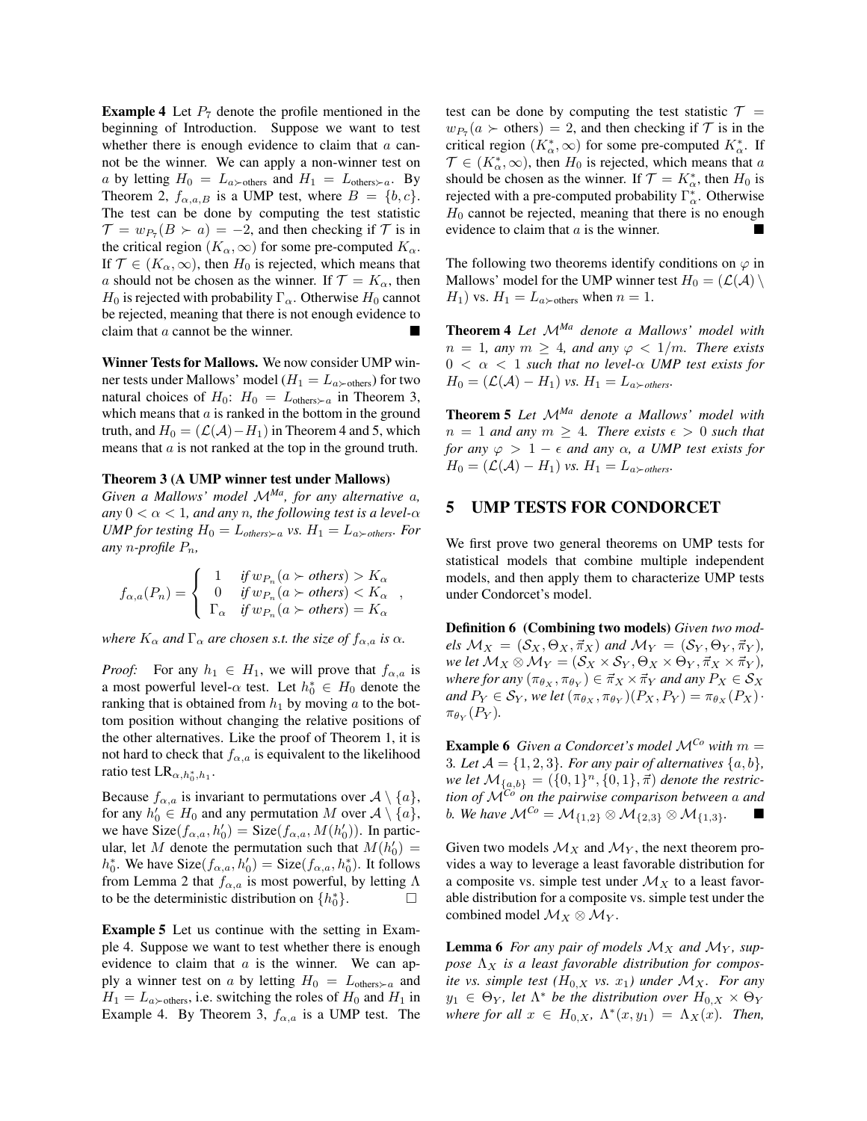**Example 4** Let  $P_7$  denote the profile mentioned in the beginning of Introduction. Suppose we want to test whether there is enough evidence to claim that *a* cannot be the winner. We can apply a non-winner test on *a* by letting  $H_0 = L_{a \succ \text{others}}$  and  $H_1 = L_{\text{others} \succ a}$ . By Theorem 2,  $f_{\alpha,a,B}$  is a UMP test, where  $B = \{b, c\}$ . The test can be done by computing the test statistic  $\mathcal{T} = w_{P_7}(B \succ a) = -2$ , and then checking if  $\mathcal{T}$  is in the critical region  $(K_{\alpha}, \infty)$  for some pre-computed  $K_{\alpha}$ . If  $\mathcal{T} \in (K_\alpha, \infty)$ , then  $H_0$  is rejected, which means that *a* should not be chosen as the winner. If  $\mathcal{T} = K_{\alpha}$ , then  $H_0$  is rejected with probability  $\Gamma_\alpha$ . Otherwise  $H_0$  cannot be rejected, meaning that there is not enough evidence to claim that  $a$  cannot be the winner.

Winner Tests for Mallows. We now consider UMP winner tests under Mallows' model ( $H_1 = L_{a \succ \text{others}}$ ) for two natural choices of  $H_0$ :  $H_0 = L_{\text{others}\succ a}$  in Theorem 3, which means that *a* is ranked in the bottom in the ground truth, and  $H_0 = (L(A) - H_1)$  in Theorem 4 and 5, which means that *a* is not ranked at the top in the ground truth.

#### Theorem 3 (A UMP winner test under Mallows)

*Given a Mallows' model <sup>M</sup>Ma, for any alternative <sup>a</sup>,* any  $0 < \alpha < 1$ , and any *n*, the following test is a level- $\alpha$ *UMP for testing*  $H_0 = L_{others \succ a}$  *vs.*  $H_1 = L_{a \succ others}$ . For *any n-profile Pn,*

$$
f_{\alpha,a}(P_n) = \begin{cases} 1 & \text{if } w_{P_n}(a \succ \text{others}) > K_{\alpha} \\ 0 & \text{if } w_{P_n}(a \succ \text{others}) < K_{\alpha} \\ \Gamma_{\alpha} & \text{if } w_{P_n}(a \succ \text{others}) = K_{\alpha} \end{cases}
$$

*where*  $K_{\alpha}$  *and*  $\Gamma_{\alpha}$  *are chosen s.t. the size of*  $f_{\alpha,a}$  *is*  $\alpha$ *.* 

*Proof:* For any  $h_1 \in H_1$ , we will prove that  $f_{\alpha,a}$  is a most powerful level- $\alpha$  test. Let  $h_0^* \in H_0$  denote the ranking that is obtained from  $h_1$  by moving  $a$  to the bottom position without changing the relative positions of the other alternatives. Like the proof of Theorem 1, it is not hard to check that  $f_{\alpha,a}$  is equivalent to the likelihood ratio test  $LR_{\alpha,h_0^*,h_1}$ .

Because  $f_{\alpha,a}$  is invariant to permutations over  $A \setminus \{a\}$ , for any  $h'_0 \in H_0$  and any permutation *M* over  $A \setminus \{a\}$ , we have  $Size(f_{\alpha,a}, h'_0) = Size(f_{\alpha,a}, M(h'_0))$ . In particular, let *M* denote the permutation such that  $M(h'_0)$  =  $h_0^*$ . We have  $Size(f_{\alpha,a}, h_0') = Size(f_{\alpha,a}, h_0^*)$ . It follows from Lemma 2 that  $f_{\alpha,a}$  is most powerful, by letting  $\Lambda$ to be the deterministic distribution on  $\{h_0^*\}$ .

Example 5 Let us continue with the setting in Example 4. Suppose we want to test whether there is enough evidence to claim that *a* is the winner. We can apply a winner test on *a* by letting  $H_0 = L_{\text{others}\succ a}$  and  $H_1 = L_{a \succ \text{others}}$ , i.e. switching the roles of  $H_0$  and  $H_1$  in Example 4. By Theorem 3,  $f_{\alpha,a}$  is a UMP test. The test can be done by computing the test statistic  $\mathcal{T} =$  $w_{P_7}(a > \text{others})=2$ , and then checking if  $\mathcal T$  is in the critical region  $(K^*_{\alpha}, \infty)$  for some pre-computed  $K^*_{\alpha}$ . If  $\mathcal{T} \in (K_{\alpha}^*, \infty)$ , then  $H_0$  is rejected, which means that *a* should be chosen as the winner. If  $\mathcal{T} = K^*_{\alpha}$ , then  $H_0$  is rejected with a pre-computed probability  $\Gamma^*_{\alpha}$ . Otherwise  $H_0$  cannot be rejected, meaning that there is no enough evidence to claim that  $a$  is the winner.

The following two theorems identify conditions on  $\varphi$  in Mallows' model for the UMP winner test  $H_0 = (\mathcal{L}(\mathcal{A}) \setminus \mathcal{A})$  $H_1$ ) vs.  $H_1 = L_a$ <sub>>others</sub> when  $n = 1$ .

Theorem 4 *Let <sup>M</sup>Ma denote a Mallows' model with*  $n = 1$ *, any*  $m \geq 4$ *, and any*  $\varphi < 1/m$ *. There exists*  $0 < \alpha < 1$  *such that no level-* $\alpha$  *UMP test exists for*  $H_0 = (\mathcal{L}(\mathcal{A}) - H_1)$  *vs.*  $H_1 = L_a \rightarrow otherwise$ .

Theorem 5 *Let <sup>M</sup>Ma denote a Mallows' model with*  $n = 1$  *and any*  $m \geq 4$ *. There exists*  $\epsilon > 0$  *such that for any*  $\varphi > 1 - \epsilon$  *and any*  $\alpha$ *, a UMP test exists for*  $H_0 = (\mathcal{L}(\mathcal{A}) - H_1)$  *vs.*  $H_1 = L_a \rightarrow otherwise$ .

# 5 UMP TESTS FOR CONDORCET

We first prove two general theorems on UMP tests for statistical models that combine multiple independent models, and then apply them to characterize UMP tests under Condorcet's model.

Definition 6 (Combining two models) *Given two mod* $e$ *ls*  $M_X = (S_X, \Theta_X, \vec{\pi}_X)$  *and*  $M_Y = (S_Y, \Theta_Y, \vec{\pi}_Y)$ *, we let*  $M_X \otimes M_Y = (\mathcal{S}_X \times \mathcal{S}_Y, \Theta_X \times \Theta_Y, \vec{\pi}_X \times \vec{\pi}_Y)$ , *where for any*  $(\pi_{\theta_X}, \pi_{\theta_Y}) \in \vec{\pi}_X \times \vec{\pi}_Y$  *and any*  $P_X \in \mathcal{S}_X$ *and*  $P_Y \in S_Y$ *, we let*  $(\pi_{\theta_X}, \pi_{\theta_Y})(P_X, P_Y) = \pi_{\theta_X}(P_X) \cdot$  $\pi_{\theta_Y}(P_Y)$ .

**Example 6** *Given a Condorcet's model*  $\mathcal{M}^{C_0}$  *with*  $m =$ 3*. Let*  $A = \{1, 2, 3\}$ *. For any pair of alternatives*  $\{a, b\}$ *, we let*  $\mathcal{M}_{\{a,b\}} = (\{0,1\}^n, \{0,1\}, \vec{\pi})$  *denote the restriction of <sup>M</sup>Co on the pairwise comparison between <sup>a</sup> and b. We have*  $M^{C_0} = M_{\{1,2\}} \otimes M_{\{2,3\}} \otimes M_{\{1,3\}}$ *.* 

Given two models  $\mathcal{M}_X$  and  $\mathcal{M}_Y$ , the next theorem provides a way to leverage a least favorable distribution for a composite vs. simple test under  $\mathcal{M}_X$  to a least favorable distribution for a composite vs. simple test under the combined model  $\mathcal{M}_X \otimes \mathcal{M}_Y$ .

**Lemma 6** For any pair of models  $\mathcal{M}_X$  and  $\mathcal{M}_Y$ , suppose  $\Lambda_X$  *is a least favorable distribution for composite vs. simple test*  $(H_{0,X}$  *vs.*  $x_1)$  *under*  $M_X$ *. For any*  $y_1 \in \Theta_Y$ , let  $\Lambda^*$  be the distribution over  $H_{0,X} \times \Theta_Y$ *where for all*  $x \in H_{0,X}$ ,  $\Lambda^*(x, y_1) = \Lambda_X(x)$ *. Then,*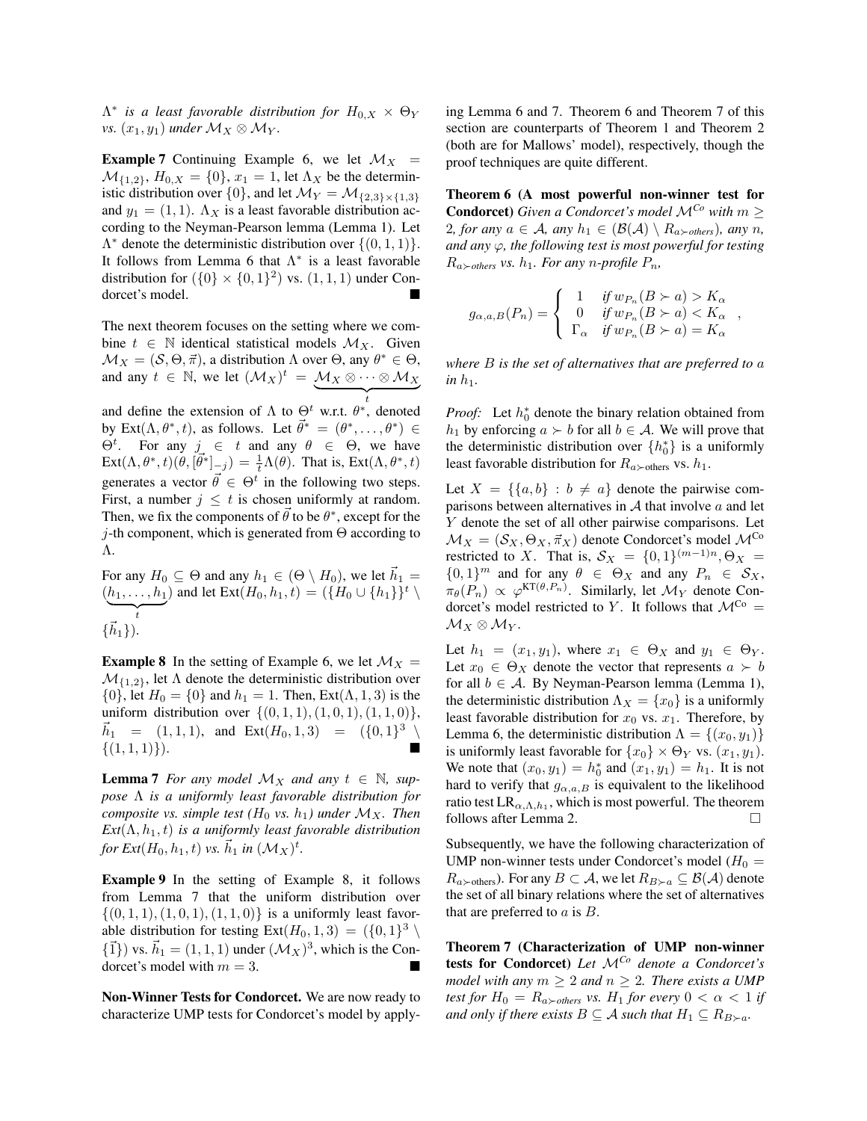$\Lambda^*$  *is a least favorable distribution for*  $H_{0,X} \times \Theta_Y$ *vs.*  $(x_1, y_1)$  *under*  $\mathcal{M}_X \otimes \mathcal{M}_Y$ *.* 

**Example 7** Continuing Example 6, we let  $\mathcal{M}_X$  =  $M_{\{1,2\}}$ ,  $H_{0,X} = \{0\}$ ,  $x_1 = 1$ , let  $\Lambda_X$  be the deterministic distribution over  $\{0\}$ , and let  $\mathcal{M}_Y = \mathcal{M}_{\{2,3\} \times \{1,3\}}$ and  $y_1 = (1, 1)$ .  $\Lambda_X$  is a least favorable distribution according to the Neyman-Pearson lemma (Lemma 1). Let  $\Lambda^*$  denote the deterministic distribution over  $\{(0, 1, 1)\}.$ It follows from Lemma 6 that  $\Lambda^*$  is a least favorable distribution for  $({0} \times {0,1}^2)$  vs.  $(1,1,1)$  under Condorcet's model.

The next theorem focuses on the setting where we combine  $t \in \mathbb{N}$  identical statistical models  $\mathcal{M}_X$ . Given  $\mathcal{M}_X = (\mathcal{S}, \Theta, \vec{\pi})$ , a distribution  $\Lambda$  over  $\Theta$ , any  $\theta^* \in \Theta$ , and any  $t \in \mathbb{N}$ , we let  $(M_X)^t = M_X \otimes \cdots \otimes M_X$ 

and define the extension of  $\Lambda$  to  $\Theta^t$  w.r.t.  $\theta^*$ , denoted by Ext $(\Lambda, \theta^*, t)$ , as follows. Let  $\vec{\theta}^* = (\theta^*, \dots, \theta^*) \in$  $\Theta^t$ . For any  $j \in t$  and any  $\theta \in \Theta$ , we have  $\text{Ext}(\Lambda, \theta^*, t)(\theta, [\vec{\theta}^*]_{-j}) = \frac{1}{t}\Lambda(\theta)$ . That is,  $\text{Ext}(\Lambda, \theta^*, t)$ generates a vector  $\vec{\theta} \in \Theta^t$  in the following two steps. First, a number  $j \leq t$  is chosen uniformly at random. Then, we fix the components of  $\theta$  to be  $\theta^*$ , except for the *j*-th component, which is generated from  $\Theta$  according to  $\Lambda$ .

For any  $H_0 \subseteq \Theta$  and any  $h_1 \in (\Theta \setminus H_0)$ , we let  $\vec{h}_1 =$  $(h_1,\ldots,h_1)$  $\leftarrow$   $\leftarrow$   $\leftarrow$ ) and let  $\text{Ext}(H_0, h_1, t) = (\{H_0 \cup \{h_1\}\}^t \setminus$  $\{\vec{h}_1\}$ ).

**Example 8** In the setting of Example 6, we let  $\mathcal{M}_X$  =  $\mathcal{M}_{\{1,2\}}$ , let  $\Lambda$  denote the deterministic distribution over  $\{0\}$ , let  $H_0 = \{0\}$  and  $h_1 = 1$ . Then, Ext( $\Lambda$ , 1, 3) is the uniform distribution over  $\{(0,1,1), (1,0,1), (1,1,0)\},\$  $\vec{h}_1 = (1, 1, 1),$  and  $\text{Ext}(H_0, 1, 3) = (\{0, 1\}^3 \setminus$  $\{(1,1,1)\}\$ .

**Lemma 7** For any model  $\mathcal{M}_X$  and any  $t \in \mathbb{N}$ , sup $pose \Lambda$  *is a uniformly least favorable distribution for composite vs. simple test* ( $H_0$  *vs.*  $h_1$ ) under  $M_X$ . Then  $Ext(\Lambda, h_1, t)$  *is a uniformly least favorable distribution for*  $Ext(H_0, h_1, t)$  *vs.*  $\vec{h}_1$  *in*  $(\mathcal{M}_X)^t$ .

Example 9 In the setting of Example 8, it follows from Lemma 7 that the uniform distribution over *{*(0*,* 1*,* 1)*,*(1*,* 0*,* 1)*,*(1*,* 1*,* 0)*}* is a uniformly least favorable distribution for testing  $Ext(H_0, 1, 3) = (\{0, 1\}^3 \setminus$  $\{\vec{1}\}\)$  vs.  $\vec{h}_1 = (1, 1, 1)$  under  $({\cal M}_X)^3$ , which is the Condorcet's model with  $m = 3$ .

Non-Winner Tests for Condorcet. We are now ready to characterize UMP tests for Condorcet's model by applying Lemma 6 and 7. Theorem 6 and Theorem 7 of this section are counterparts of Theorem 1 and Theorem 2 (both are for Mallows' model), respectively, though the proof techniques are quite different.

Theorem 6 (A most powerful non-winner test for Condorcet) *Given a Condorcet's model <sup>M</sup>Co with <sup>m</sup>* 2*, for any*  $a \in \mathcal{A}$ *, any*  $h_1 \in (\mathcal{B}(\mathcal{A}) \setminus R_{a \succ \text{others}})$ *, any n, and any*  $\varphi$ *, the following test is most powerful for testing*  $R_{a \succ others}$  *vs.*  $h_1$ *. For any n-profile*  $P_n$ *,* 

$$
g_{\alpha,a,B}(P_n) = \begin{cases} 1 & \text{if } w_{P_n}(B \succ a) > K_{\alpha} \\ 0 & \text{if } w_{P_n}(B \succ a) < K_{\alpha} \\ \Gamma_{\alpha} & \text{if } w_{P_n}(B \succ a) = K_{\alpha} \end{cases}
$$

*where B is the set of alternatives that are preferred to a*  $in h_1$ .

*Proof:* Let  $h_0^*$  denote the binary relation obtained from *h*<sub>1</sub> by enforcing  $a \succ b$  for all  $b \in A$ . We will prove that the deterministic distribution over  $\{h_0^*\}$  is a uniformly least favorable distribution for  $R_{a \succ \text{others}}$  vs.  $h_1$ .

Let  $X = \{ \{a, b\} : b \neq a \}$  denote the pairwise comparisons between alternatives in *A* that involve *a* and let *Y* denote the set of all other pairwise comparisons. Let  $\mathcal{M}_X = (\mathcal{S}_X, \Theta_X, \vec{\pi}_X)$  denote Condorcet's model  $\mathcal{M}^{\text{Co}}$ restricted to *X*. That is,  $S_X = \{0, 1\}^{(m-1)n}, \Theta_X =$  $\{0,1\}^m$  and for any  $\theta \in \Theta_X$  and any  $P_n \in \mathcal{S}_X$ ,  $\pi_{\theta}(P_n) \propto \varphi^{\text{KT}(\theta, P_n)}$ . Similarly, let  $\mathcal{M}_Y$  denote Condorcet's model restricted to *Y*. It follows that  $\mathcal{M}^{Co}$  =  $\mathcal{M}_X \otimes \mathcal{M}_Y$ .

Let  $h_1 = (x_1, y_1)$ , where  $x_1 \in \Theta_X$  and  $y_1 \in \Theta_Y$ . Let  $x_0 \in \Theta_X$  denote the vector that represents  $a \succ b$ for all  $b \in A$ . By Neyman-Pearson lemma (Lemma 1), the deterministic distribution  $\Lambda_X = \{x_0\}$  is a uniformly least favorable distribution for  $x_0$  vs.  $x_1$ . Therefore, by Lemma 6, the deterministic distribution  $\Lambda = \{(x_0, y_1)\}$ is uniformly least favorable for  $\{x_0\} \times \Theta_Y$  vs.  $(x_1, y_1)$ . We note that  $(x_0, y_1) = h_0^*$  and  $(x_1, y_1) = h_1$ . It is not hard to verify that  $g_{\alpha,a,B}$  is equivalent to the likelihood ratio test  $LR_{\alpha,\Lambda,h_1}$ , which is most powerful. The theorem follows after Lemma 2.  $\Box$ 

Subsequently, we have the following characterization of UMP non-winner tests under Condorcet's model ( $H_0 =$  $R_{a \succ \text{others}}$ ). For any  $B \subset \mathcal{A}$ , we let  $R_{B \succ a} \subseteq \mathcal{B}(\mathcal{A})$  denote the set of all binary relations where the set of alternatives that are preferred to *a* is *B*.

Theorem 7 (Characterization of UMP non-winner tests for Condorcet) *Let <sup>M</sup>Co denote a Condorcet's model with any*  $m \geq 2$  *and*  $n \geq 2$ *. There exists a UMP test for*  $H_0 = R_{a \succ others}$  *vs.*  $H_1$  *for every*  $0 < \alpha < 1$  *if and only if there exists*  $B \subseteq A$  *such that*  $H_1 \subseteq R_{B \succ a}$ *.*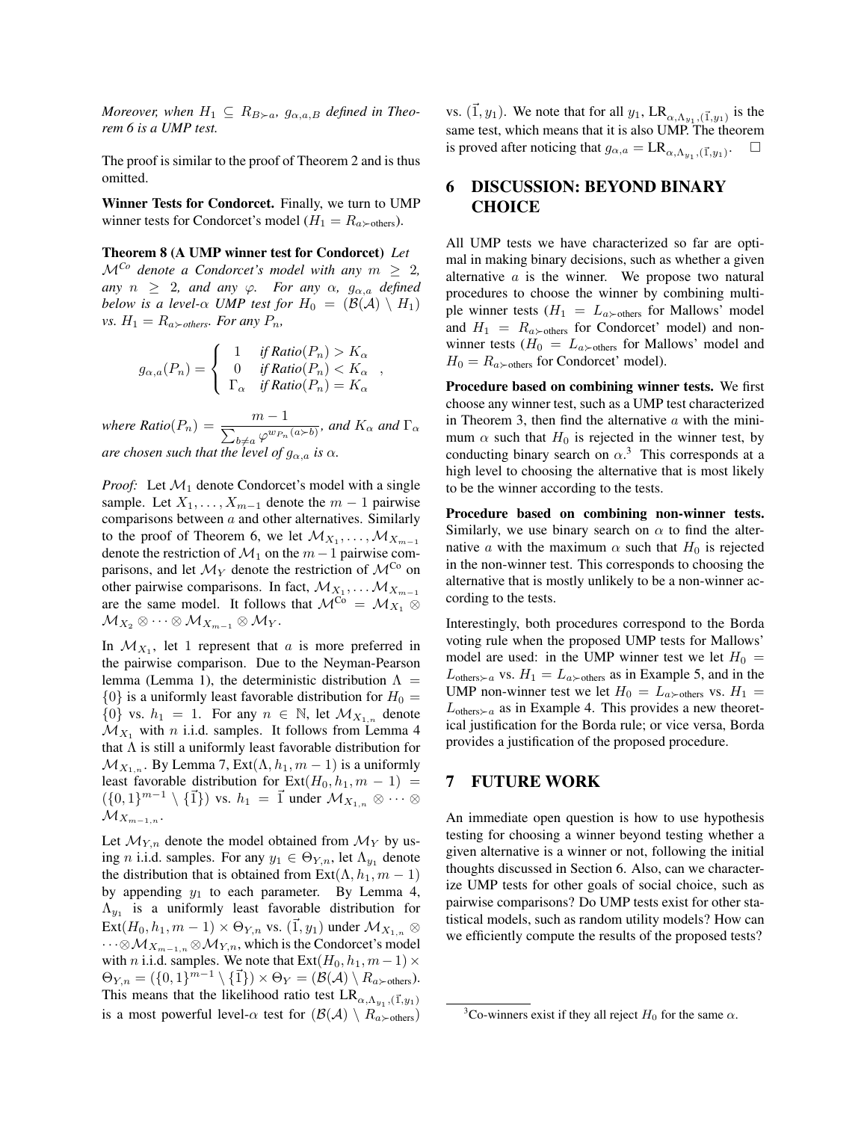*Moreover, when*  $H_1 \subseteq R_{B\succ a}$ ,  $g_{\alpha,a,B}$  *defined in Theorem 6 is a UMP test.*

The proof is similar to the proof of Theorem 2 and is thus omitted.

Winner Tests for Condorcet. Finally, we turn to UMP winner tests for Condorcet's model ( $H_1 = R_{a \succ \text{others}}$ ).

Theorem 8 (A UMP winner test for Condorcet) *Let*  $\mathcal{M}^{C_0}$  *denote a Condorcet's model with any*  $m \geq 2$ , *any*  $n \geq 2$ *, and any*  $\varphi$ *. For any*  $\alpha$ *,*  $g_{\alpha,a}$  *defined below is a level-* $\alpha$  *UMP test for*  $H_0 = (\mathcal{B}(A) \setminus H_1)$ *vs.*  $H_1 = R_{a \succ others}$ *. For any*  $P_n$ *,* 

$$
g_{\alpha,a}(P_n) = \begin{cases} 1 & \text{if Ratio}(P_n) > K_{\alpha} \\ 0 & \text{if Ratio}(P_n) < K_{\alpha} \\ \Gamma_{\alpha} & \text{if Ratio}(P_n) = K_{\alpha} \end{cases}
$$

*,*

 $where$   $Ratio(P_n) = \frac{m-1}{\sum_{b \neq a} \varphi^{w_{P_n}(a \succ b)}}$ , and  $K_\alpha$  and  $\Gamma_\alpha$ *are chosen such that the level of*  $g_{\alpha,a}$  *is*  $\alpha$ *.* 

*Proof:* Let *M*<sup>1</sup> denote Condorcet's model with a single sample. Let  $X_1, \ldots, X_{m-1}$  denote the  $m-1$  pairwise comparisons between *a* and other alternatives. Similarly to the proof of Theorem 6, we let  $\mathcal{M}_{X_1}, \ldots, \mathcal{M}_{X_{m-1}}$ denote the restriction of  $M_1$  on the  $m-1$  pairwise comparisons, and let  $\mathcal{M}_Y$  denote the restriction of  $\mathcal{M}^{C_0}$  on other pairwise comparisons. In fact,  $\mathcal{M}_{X_1}, \dots \mathcal{M}_{X_{m-1}}$ are the same model. It follows that  $\mathcal{M}^{\overline{Co}} = \mathcal{M}_{X_1} \otimes$  $\mathcal{M}_{X_2} \otimes \cdots \otimes \mathcal{M}_{X_{m-1}} \otimes \mathcal{M}_Y$ .

In  $\mathcal{M}_{X_1}$ , let 1 represent that *a* is more preferred in the pairwise comparison. Due to the Neyman-Pearson lemma (Lemma 1), the deterministic distribution  $\Lambda =$  $\{0\}$  is a uniformly least favorable distribution for  $H_0 =$  $\{0\}$  vs.  $h_1 = 1$ . For any  $n \in \mathbb{N}$ , let  $\mathcal{M}_{X_{1,n}}$  denote  $\mathcal{M}_{X_1}$  with *n* i.i.d. samples. It follows from Lemma 4 that  $\Lambda$  is still a uniformly least favorable distribution for  $\mathcal{M}_{X_{1,n}}$ . By Lemma 7, Ext( $\Lambda, h_1, m-1$ ) is a uniformly least favorable distribution for  $Ext(H_0, h_1, m-1)$  =  $(\{0,1\}^{m-1} \setminus {\{\vec{1}\}})$  vs.  $h_1 = \vec{1}$  under  $\mathcal{M}_{X_{1,n}} \otimes \cdots \otimes$  $\mathcal{M}_{X_{m-1,n}}$ .

Let  $\mathcal{M}_{Y,n}$  denote the model obtained from  $\mathcal{M}_Y$  by using *n* i.i.d. samples. For any  $y_1 \in \Theta_{Y,n}$ , let  $\Lambda_{y_1}$  denote the distribution that is obtained from  $Ext(\Lambda, h_1, m-1)$ by appending *y*<sup>1</sup> to each parameter. By Lemma 4,  $\Lambda_{y_1}$  is a uniformly least favorable distribution for  $\text{Ext}(H_0, h_1, m-1) \times \Theta_{Y,n}$  vs.  $(\vec{1}, y_1)$  under  $\mathcal{M}_{X_{1,n}} \otimes$  $\cdots \otimes M_{X_{m-1,n}} \otimes M_{Y,n}$ , which is the Condorcet's model with *n* i.i.d. samples. We note that  $\text{Ext}(H_0, h_1, m-1) \times$  $\Theta_{Y,n} = (\{0,1\}^{m-1} \setminus \{\vec{1}\}) \times \Theta_Y = (\mathcal{B}(\mathcal{A}) \setminus R_{a\succ \text{others}}).$ This means that the likelihood ratio test  $LR_{\alpha,\Lambda_{y_1},(\vec{1},y_1)}$ is a most powerful level- $\alpha$  test for  $(\mathcal{B}(\mathcal{A}) \setminus R_{a \succ \text{others}})$ 

vs.  $(\vec{1}, y_1)$ . We note that for all  $y_1$ , LR<sub> $\alpha, \Lambda_{y_1}, (\vec{1}, y_1)$  is the</sub> same test, which means that it is also UMP. The theorem is proved after noticing that  $g_{\alpha,a} = \text{LR}_{\alpha,\Lambda_{y_1},(\vec{1},y_1)}$ .

# 6 DISCUSSION: BEYOND BINARY **CHOICE**

All UMP tests we have characterized so far are optimal in making binary decisions, such as whether a given alternative *a* is the winner. We propose two natural procedures to choose the winner by combining multiple winner tests ( $H_1 = L_a \rangle$ <sub>others</sub> for Mallows' model and  $H_1 = R_{a \succ \text{others}}$  for Condorcet' model) and nonwinner tests ( $H_0 = L_{a \succ \text{others}}$  for Mallows' model and  $H_0 = R_{a \succ \text{others}}$  for Condorcet' model).

Procedure based on combining winner tests. We first choose any winner test, such as a UMP test characterized in Theorem 3, then find the alternative *a* with the minimum  $\alpha$  such that  $H_0$  is rejected in the winner test, by conducting binary search on  $\alpha$ .<sup>3</sup> This corresponds at a high level to choosing the alternative that is most likely to be the winner according to the tests.

Procedure based on combining non-winner tests. Similarly, we use binary search on  $\alpha$  to find the alternative *a* with the maximum  $\alpha$  such that  $H_0$  is rejected in the non-winner test. This corresponds to choosing the alternative that is mostly unlikely to be a non-winner according to the tests.

Interestingly, both procedures correspond to the Borda voting rule when the proposed UMP tests for Mallows' model are used: in the UMP winner test we let  $H_0 =$  $L_{\text{others}\succ a}$  vs.  $H_1 = L_{a\succ \text{others}}$  as in Example 5, and in the UMP non-winner test we let  $H_0 = L_{a \succ \text{others}}$  vs.  $H_1 =$  $L_{\text{others}\succ a}$  as in Example 4. This provides a new theoretical justification for the Borda rule; or vice versa, Borda provides a justification of the proposed procedure.

# 7 FUTURE WORK

An immediate open question is how to use hypothesis testing for choosing a winner beyond testing whether a given alternative is a winner or not, following the initial thoughts discussed in Section 6. Also, can we characterize UMP tests for other goals of social choice, such as pairwise comparisons? Do UMP tests exist for other statistical models, such as random utility models? How can we efficiently compute the results of the proposed tests?

<sup>&</sup>lt;sup>3</sup>Co-winners exist if they all reject  $H_0$  for the same  $\alpha$ .